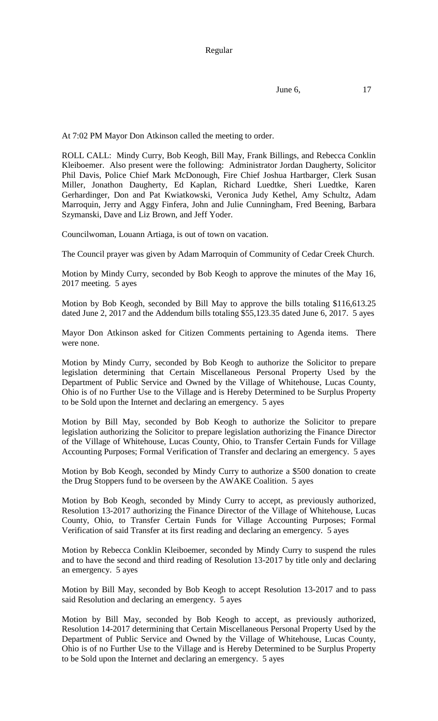Regular

June 6, 17

At 7:02 PM Mayor Don Atkinson called the meeting to order.

ROLL CALL: Mindy Curry, Bob Keogh, Bill May, Frank Billings, and Rebecca Conklin Kleiboemer. Also present were the following: Administrator Jordan Daugherty, Solicitor Phil Davis, Police Chief Mark McDonough, Fire Chief Joshua Hartbarger, Clerk Susan Miller, Jonathon Daugherty, Ed Kaplan, Richard Luedtke, Sheri Luedtke, Karen Gerhardinger, Don and Pat Kwiatkowski, Veronica Judy Kethel, Amy Schultz, Adam Marroquin, Jerry and Aggy Finfera, John and Julie Cunningham, Fred Beening, Barbara Szymanski, Dave and Liz Brown, and Jeff Yoder.

Councilwoman, Louann Artiaga, is out of town on vacation.

The Council prayer was given by Adam Marroquin of Community of Cedar Creek Church.

Motion by Mindy Curry, seconded by Bob Keogh to approve the minutes of the May 16, 2017 meeting. 5 ayes

Motion by Bob Keogh, seconded by Bill May to approve the bills totaling \$116,613.25 dated June 2, 2017 and the Addendum bills totaling \$55,123.35 dated June 6, 2017. 5 ayes

Mayor Don Atkinson asked for Citizen Comments pertaining to Agenda items. There were none.

Motion by Mindy Curry, seconded by Bob Keogh to authorize the Solicitor to prepare legislation determining that Certain Miscellaneous Personal Property Used by the Department of Public Service and Owned by the Village of Whitehouse, Lucas County, Ohio is of no Further Use to the Village and is Hereby Determined to be Surplus Property to be Sold upon the Internet and declaring an emergency. 5 ayes

Motion by Bill May, seconded by Bob Keogh to authorize the Solicitor to prepare legislation authorizing the Solicitor to prepare legislation authorizing the Finance Director of the Village of Whitehouse, Lucas County, Ohio, to Transfer Certain Funds for Village Accounting Purposes; Formal Verification of Transfer and declaring an emergency. 5 ayes

Motion by Bob Keogh, seconded by Mindy Curry to authorize a \$500 donation to create the Drug Stoppers fund to be overseen by the AWAKE Coalition. 5 ayes

Motion by Bob Keogh, seconded by Mindy Curry to accept, as previously authorized, Resolution 13-2017 authorizing the Finance Director of the Village of Whitehouse, Lucas County, Ohio, to Transfer Certain Funds for Village Accounting Purposes; Formal Verification of said Transfer at its first reading and declaring an emergency. 5 ayes

Motion by Rebecca Conklin Kleiboemer, seconded by Mindy Curry to suspend the rules and to have the second and third reading of Resolution 13-2017 by title only and declaring an emergency. 5 ayes

Motion by Bill May, seconded by Bob Keogh to accept Resolution 13-2017 and to pass said Resolution and declaring an emergency. 5 ayes

Motion by Bill May, seconded by Bob Keogh to accept, as previously authorized, Resolution 14-2017 determining that Certain Miscellaneous Personal Property Used by the Department of Public Service and Owned by the Village of Whitehouse, Lucas County, Ohio is of no Further Use to the Village and is Hereby Determined to be Surplus Property to be Sold upon the Internet and declaring an emergency. 5 ayes